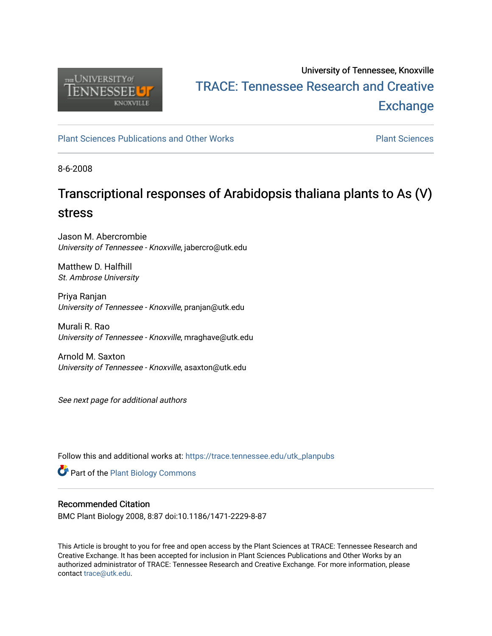

# University of Tennessee, Knoxville TRACE: T[ennessee Research and Cr](https://trace.tennessee.edu/)eative **Exchange**

[Plant Sciences Publications and Other Works](https://trace.tennessee.edu/utk_planpubs) [Plant Sciences](https://trace.tennessee.edu/utk-plan) 

8-6-2008

# Transcriptional responses of Arabidopsis thaliana plants to As (V) stress

Jason M. Abercrombie University of Tennessee - Knoxville, jabercro@utk.edu

Matthew D. Halfhill St. Ambrose University

Priya Ranjan University of Tennessee - Knoxville, pranjan@utk.edu

Murali R. Rao University of Tennessee - Knoxville, mraghave@utk.edu

Arnold M. Saxton University of Tennessee - Knoxville, asaxton@utk.edu

See next page for additional authors

Follow this and additional works at: [https://trace.tennessee.edu/utk\\_planpubs](https://trace.tennessee.edu/utk_planpubs?utm_source=trace.tennessee.edu%2Futk_planpubs%2F50&utm_medium=PDF&utm_campaign=PDFCoverPages) 

Part of the [Plant Biology Commons](https://network.bepress.com/hgg/discipline/106?utm_source=trace.tennessee.edu%2Futk_planpubs%2F50&utm_medium=PDF&utm_campaign=PDFCoverPages) 

# Recommended Citation

BMC Plant Biology 2008, 8:87 doi:10.1186/1471-2229-8-87

This Article is brought to you for free and open access by the Plant Sciences at TRACE: Tennessee Research and Creative Exchange. It has been accepted for inclusion in Plant Sciences Publications and Other Works by an authorized administrator of TRACE: Tennessee Research and Creative Exchange. For more information, please contact [trace@utk.edu](mailto:trace@utk.edu).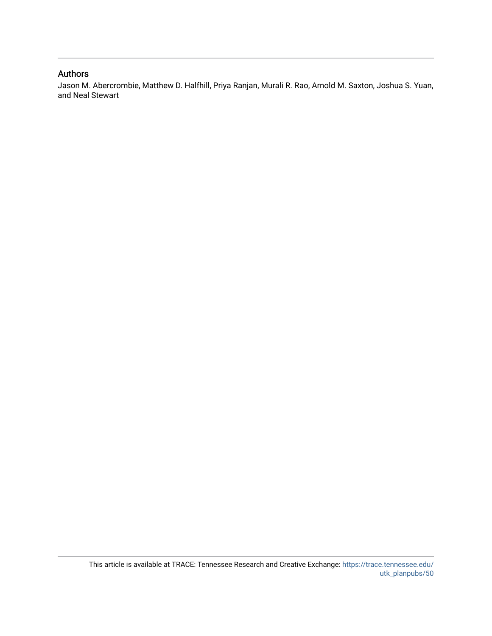# Authors

Jason M. Abercrombie, Matthew D. Halfhill, Priya Ranjan, Murali R. Rao, Arnold M. Saxton, Joshua S. Yuan, and Neal Stewart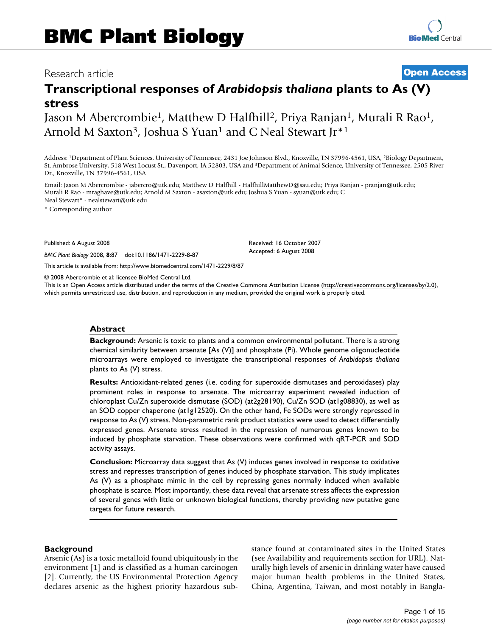# Research article **[Open Access](http://www.biomedcentral.com/info/about/charter/)**

# **Transcriptional responses of** *Arabidopsis thaliana* **plants to As (V) stress**

Jason M Abercrombie<sup>1</sup>, Matthew D Halfhill<sup>2</sup>, Priya Ranjan<sup>1</sup>, Murali R Rao<sup>1</sup>, Arnold M Saxton<sup>3</sup>, Joshua S Yuan<sup>1</sup> and C Neal Stewart Jr<sup>\*1</sup>

Address: 1Department of Plant Sciences, University of Tennessee, 2431 Joe Johnson Blvd., Knoxville, TN 37996-4561, USA, 2Biology Department, St. Ambrose University, 518 West Locust St., Davenport, IA 52803, USA and 3Department of Animal Science, University of Tennessee, 2505 River Dr., Knoxville, TN 37996-4561, USA

Email: Jason M Abercrombie - jabercro@utk.edu; Matthew D Halfhill - HalfhillMatthewD@sau.edu; Priya Ranjan - pranjan@utk.edu; Murali R Rao - mraghave@utk.edu; Arnold M Saxton - asaxton@utk.edu; Joshua S Yuan - syuan@utk.edu; C Neal Stewart\* - nealstewart@utk.edu

\* Corresponding author

Published: 6 August 2008

*BMC Plant Biology* 2008, **8**:87 doi:10.1186/1471-2229-8-87

[This article is available from: http://www.biomedcentral.com/1471-2229/8/87](http://www.biomedcentral.com/1471-2229/8/87)

© 2008 Abercrombie et al; licensee BioMed Central Ltd.

This is an Open Access article distributed under the terms of the Creative Commons Attribution License [\(http://creativecommons.org/licenses/by/2.0\)](http://creativecommons.org/licenses/by/2.0), which permits unrestricted use, distribution, and reproduction in any medium, provided the original work is properly cited.

Received: 16 October 2007 Accepted: 6 August 2008

#### **Abstract**

**Background:** Arsenic is toxic to plants and a common environmental pollutant. There is a strong chemical similarity between arsenate [As (V)] and phosphate (Pi). Whole genome oligonucleotide microarrays were employed to investigate the transcriptional responses of *Arabidopsis thaliana* plants to As (V) stress.

**Results:** Antioxidant-related genes (i.e. coding for superoxide dismutases and peroxidases) play prominent roles in response to arsenate. The microarray experiment revealed induction of chloroplast Cu/Zn superoxide dismutase (SOD) (at2g28190), Cu/Zn SOD (at1g08830), as well as an SOD copper chaperone (at1g12520). On the other hand, Fe SODs were strongly repressed in response to As (V) stress. Non-parametric rank product statistics were used to detect differentially expressed genes. Arsenate stress resulted in the repression of numerous genes known to be induced by phosphate starvation. These observations were confirmed with qRT-PCR and SOD activity assays.

**Conclusion:** Microarray data suggest that As (V) induces genes involved in response to oxidative stress and represses transcription of genes induced by phosphate starvation. This study implicates As (V) as a phosphate mimic in the cell by repressing genes normally induced when available phosphate is scarce. Most importantly, these data reveal that arsenate stress affects the expression of several genes with little or unknown biological functions, thereby providing new putative gene targets for future research.

#### **Background**

Arsenic (As) is a toxic metalloid found ubiquitously in the environment [1] and is classified as a human carcinogen [2]. Currently, the US Environmental Protection Agency declares arsenic as the highest priority hazardous substance found at contaminated sites in the United States (see Availability and requirements section for URL). Naturally high levels of arsenic in drinking water have caused major human health problems in the United States, China, Argentina, Taiwan, and most notably in Bangla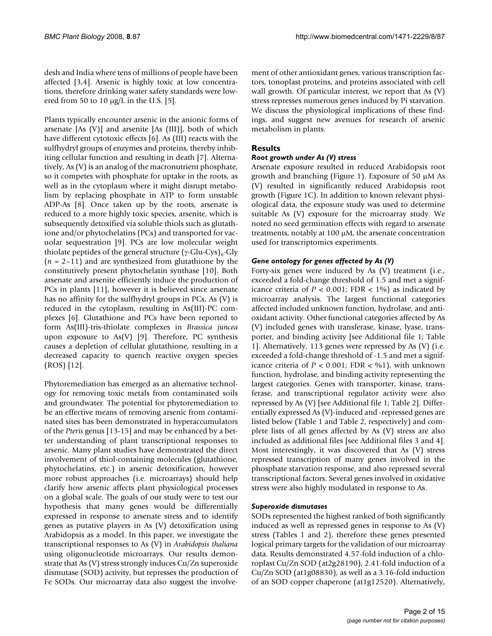desh and India where tens of millions of people have been affected [3,4]. Arsenic is highly toxic at low concentrations, therefore drinking water safety standards were lowered from 50 to 10  $\mu$ g/L in the U.S. [5].

Plants typically encounter arsenic in the anionic forms of arsenate [As (V)] and arsenite [As (III)], both of which have different cytotoxic effects [\[6\]](#page-15-0). As (III) reacts with the sulfhydryl groups of enzymes and proteins, thereby inhibiting cellular function and resulting in death [7]. Alternatively, As (V) is an analog of the macronutrient phosphate, so it competes with phosphate for uptake in the roots, as well as in the cytoplasm where it might disrupt metabolism by replacing phosphate in ATP to form unstable ADP-As [8]. Once taken up by the roots, arsenate is reduced to a more highly toxic species, arsenite, which is subsequently detoxified via soluble thiols such as glutathione and/or phytochelatins (PCs) and transported for vacuolar sequestration [9]. PCs are low molecular weight thiolate peptides of the general structure (γ-Glu-Cys)*n*-Gly (*n* = 2–11) and are synthesized from glutathione by the constitutively present phytochelatin synthase [10]. Both arsenate and arsenite efficiently induce the production of PCs in plants [11], however it is believed since arsenate has no affinity for the sulfhydryl groups in PCs, As (V) is reduced in the cytoplasm, resulting in As(III)-PC complexes [\[6\]](#page-15-0). Glutathione and PCs have been reported to form As(III)-tris-thiolate complexes in *Brassica juncea* upon exposure to As $(V)$  [9]. Therefore, PC synthesis causes a depletion of cellular glutathione, resulting in a decreased capacity to quench reactive oxygen species (ROS) [12].

Phytoremediation has emerged as an alternative technology for removing toxic metals from contaminated soils and groundwater. The potential for phytoremediation to be an effective means of removing arsenic from contaminated sites has been demonstrated in hyperaccumulators of the *Pteris* genus [[13-](#page-15-1)15] and may be enhanced by a better understanding of plant transcriptional responses to arsenic. Many plant studies have demonstrated the direct involvement of thiol-containing molecules (glutathione, phytochelatins, etc.) in arsenic detoxification, however more robust approaches (i.e. microarrays) should help clarify how arsenic affects plant physiological processes on a global scale. The goals of our study were to test our hypothesis that many genes would be differentially expressed in response to arsenate stress and to identify genes as putative players in As (V) detoxification using Arabidopsis as a model. In this paper, we investigate the transcriptional responses to As (V) in *Arabidopsis thaliana* using oligonucleotide microarrays. Our results demonstrate that As (V) stress strongly induces Cu/Zn superoxide dismutase (SOD) activity, but represses the production of Fe SODs. Our microarray data also suggest the involvement of other antioxidant genes, various transcription factors, tonoplast proteins, and proteins associated with cell wall growth. Of particular interest, we report that As (V) stress represses numerous genes induced by Pi starvation. We discuss the physiological implications of these findings, and suggest new avenues for research of arsenic metabolism in plants.

# **Results**

## *Root growth under As (V) stress*

Arsenate exposure resulted in reduced Arabidopsis root growth and branching (Figure 1). Exposure of 50 μM As (V) resulted in significantly reduced Arabidopsis root growth (Figure 1C). In addition to known relevant physiological data, the exposure study was used to determine suitable As (V) exposure for the microarray study. We noted no seed germination effects with regard to arsenate treatments, notably at 100 μM, the arsenate concentration used for transcriptomics experiments.

## *Gene ontology for genes affected by As (V)*

Forty-six genes were induced by As (V) treatment (i.e., exceeded a fold-change threshold of 1.5 and met a significance criteria of  $P < 0.001$ ; FDR  $< 1\%$ ) as indicated by microarray analysis. The largest functional categories affected included unknown function, hydrolase, and antioxidant activity. Other functional categories affected by As (V) included genes with transferase, kinase, lyase, transporter, and binding activity [see Additional file 1; Table 1]. Alternatively, 113 genes were repressed by As (V) (i.e. exceeded a fold-change threshold of -1.5 and met a significance criteria of  $P < 0.001$ ; FDR  $<$  %1), with unknown function, hydrolase, and binding activity representing the largest categories. Genes with transporter, kinase, transferase, and transcriptional regulator activity were also repressed by As (V) [see Additional file 1; Table 2]. Differentially expressed As (V)-induced and -repressed genes are listed below (Table 1 and Table 2, respectively) and complete lists of all genes affected by As (V) stress are also included as additional files [see Additional files 3 and 4]. Most interestingly, it was discovered that As (V) stress repressed transcription of many genes involved in the phosphate starvation response, and also repressed several transcriptional factors. Several genes involved in oxidative stress were also highly modulated in response to As.

#### *Superoxide dismutases*

SODs represented the highest ranked of both significantly induced as well as repressed genes in response to As (V) stress (Tables 1 and 2), therefore these genes presented logical primary targets for the validation of our microarray data. Results demonstrated 4.57-fold induction of a chloroplast Cu/Zn SOD (at2g28190), 2.41-fold induction of a Cu/Zn SOD (at1g08830), as well as a 3.16-fold induction of an SOD copper chaperone (at1g12520). Alternatively,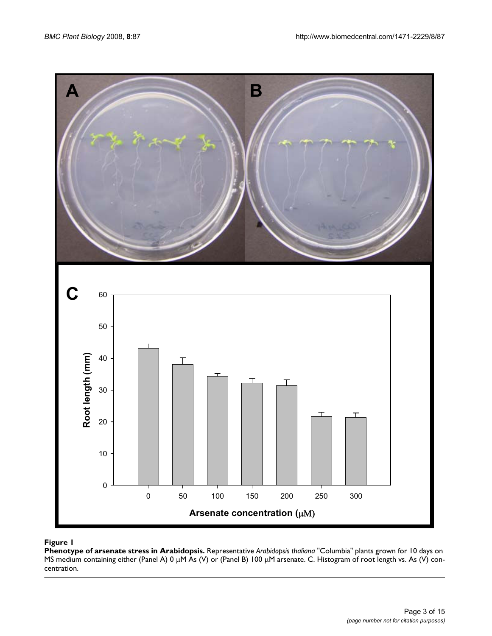

#### **Figure 1**

**Phenotype of arsenate stress in Arabidopsis.** Representative *Arabidopsis thaliana* "Columbia" plants grown for 10 days on MS medium containing either (Panel A) 0 μM As (V) or (Panel B) 100 μM arsenate. C. Histogram of root length vs. As (V) concentration.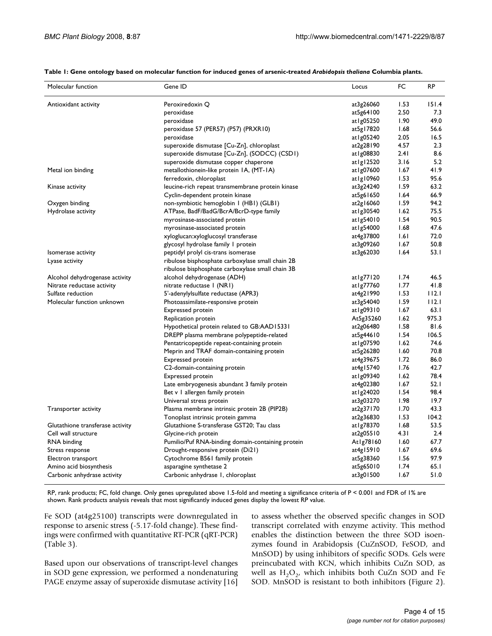| Molecular function               | Gene ID                                           | Locus       | FC   | <b>RP</b> |
|----------------------------------|---------------------------------------------------|-------------|------|-----------|
| Antioxidant activity             | Peroxiredoxin Q                                   | at3g26060   | 1.53 | 151.4     |
|                                  | peroxidase                                        | at5g64100   | 2.50 | 7.3       |
|                                  | peroxidase                                        | at 1g05250  | 1.90 | 49.0      |
|                                  | peroxidase 57 (PER57) (P57) (PRXR10)              | at5g17820   | 1.68 | 56.6      |
|                                  | peroxidase                                        | at Ig05240  | 2.05 | 16.5      |
|                                  | superoxide dismutase [Cu-Zn], chloroplast         | at2g28190   | 4.57 | 2.3       |
|                                  | superoxide dismutase [Cu-Zn], (SODCC) (CSD1)      | at   g08830 | 2.41 | 8.6       |
|                                  | superoxide dismutase copper chaperone             | atlg12520   | 3.16 | 5.2       |
| Metal ion binding                | metallothionein-like protein IA, (MT-IA)          | at I g07600 | 1.67 | 41.9      |
|                                  | ferredoxin, chloroplast                           | atlg10960   | 1.53 | 95.6      |
| Kinase activity                  | leucine-rich repeat transmembrane protein kinase  | at3g24240   | 1.59 | 63.2      |
|                                  | Cyclin-dependent protein kinase                   | at5g61650   | 1.64 | 66.9      |
| Oxygen binding                   | non-symbiotic hemoglobin I (HBI) (GLBI)           | at2g16060   | 1.59 | 94.2      |
| Hydrolase activity               | ATPase, BadF/BadG/BcrA/BcrD-type family           | at1g30540   | 1.62 | 75.5      |
|                                  | myrosinase-associated protein                     | at1g54010   | 1.54 | 90.5      |
|                                  | myrosinase-associated protein                     | at I g54000 | 1.68 | 47.6      |
|                                  | xyloglucan:xyloglucosyl transferase               | at4g37800   | 1.61 | 72.0      |
|                                  | glycosyl hydrolase family I protein               | at3g09260   | 1.67 | 50.8      |
| Isomerase activity               | peptidyl prolyl cis-trans isomerase               | at3g62030   | 1.64 | 53.I      |
| Lyase activity                   | ribulose bisphosphate carboxylase small chain 2B  |             |      |           |
|                                  | ribulose bisphosphate carboxylase small chain 3B  |             |      |           |
| Alcohol dehydrogenase activity   | alcohol dehydrogenase (ADH)                       | at1g77120   | 1.74 | 46.5      |
| Nitrate reductase activity       | nitrate reductase I (NRI)                         | at1g77760   | 1.77 | 41.8      |
| Sulfate reduction                | 5'-adenylylsulfate reductase (APR3)               | at4g21990   | 1.53 | 112.1     |
| Molecular function unknown       | Photoassimilate-responsive protein                | at3g54040   | 1.59 | 112.1     |
|                                  | <b>Expressed protein</b>                          | at1g09310   | 1.67 | 63.1      |
|                                  | Replication protein                               | At5g35260   | 1.62 | 975.3     |
|                                  | Hypothetical protein related to GB:AAD15331       | at2g06480   | 1.58 | 81.6      |
|                                  | DREPP plasma membrane polypeptide-related         | at5g44610   | 1.54 | 106.5     |
|                                  | Pentatricopeptide repeat-containing protein       | at 1g07590  | 1.62 | 74.6      |
|                                  | Meprin and TRAF domain-containing protein         | at5g26280   | 1.60 | 70.8      |
|                                  | <b>Expressed protein</b>                          | at4g39675   | 1.72 | 86.0      |
|                                  | C2-domain-containing protein                      | at4g15740   | 1.76 | 42.7      |
|                                  | <b>Expressed protein</b>                          | at 1g09340  | 1.62 | 78.4      |
|                                  | Late embryogenesis abundant 3 family protein      | at4g02380   | 1.67 | 52. I     |
|                                  | Bet v I allergen family protein                   | at 1g24020  | 1.54 | 98.4      |
|                                  | Universal stress protein                          | at3g03270   | 1.98 | 19.7      |
| Transporter activity             | Plasma membrane intrinsic protein 2B (PIP2B)      | at2g37170   | 1.70 | 43.3      |
|                                  | Tonoplast intrinsic protein gamma                 | at2g36830   | 1.53 | 104.2     |
| Glutathione transferase activity | Glutathione S-transferase GST20; Tau class        | at1g78370   | 1.68 | 53.5      |
| Cell wall structure              | Glycine-rich protein                              | at2g05510   | 4.31 | 2.4       |
| RNA binding                      | Pumilio/Puf RNA-binding domain-containing protein | At1g78160   | 1.60 | 67.7      |
| Stress response                  | Drought-responsive protein (Di21)                 | at4g15910   | 1.67 | 69.6      |
| Electron transport               | Cytochrome B561 family protein                    | at5g38360   | 1.56 | 97.9      |
| Amino acid biosynthesis          | asparagine synthetase 2                           | at5g65010   | 1.74 | 65. I     |
| Carbonic anhydrase activity      | Carbonic anhydrase 1, chloroplast                 | at3g01500   | 1.67 | 51.0      |
|                                  |                                                   |             |      |           |

**Table 1: Gene ontology based on molecular function for induced genes of arsenic-treated** *Arabidopsis thaliana* **Columbia plants.**

RP, rank products; FC, fold change. Only genes upregulated above 1.5-fold and meeting a significance criteria of P < 0.001 and FDR of 1% are shown. Rank products analysis reveals that most significantly induced genes display the lowest RP value.

Fe SOD (at4g25100) transcripts were downregulated in response to arsenic stress (-5.17-fold change). These findings were confirmed with quantitative RT-PCR (qRT-PCR) (Table 3).

Based upon our observations of transcript-level changes in SOD gene expression, we performed a nondenaturing PAGE enzyme assay of superoxide dismutase activity [16]

to assess whether the observed specific changes in SOD transcript correlated with enzyme activity. This method enables the distinction between the three SOD isoenzymes found in Arabidopsis (CuZnSOD, FeSOD, and MnSOD) by using inhibitors of specific SODs. Gels were preincubated with KCN, which inhibits CuZn SOD, as well as  $H_2O_2$ , which inhibits both CuZn SOD and Fe SOD. MnSOD is resistant to both inhibitors (Figure 2).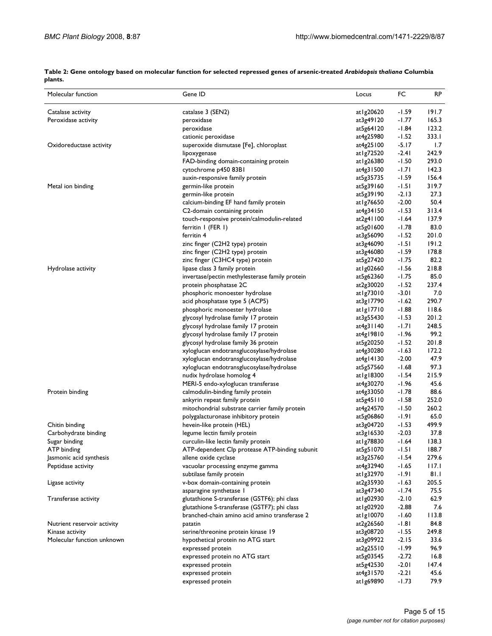**Table 2: Gene ontology based on molecular function for selected repressed genes of arsenic-treated** *Arabidopsis thaliana* **Columbia plants.**

| Molecular function          | Gene ID                                        | Locus         | FC      | <b>RP</b> |
|-----------------------------|------------------------------------------------|---------------|---------|-----------|
| Catalase activity           | catalase 3 (SEN2)                              | at   g20620   | $-1.59$ | 191.7     |
| Peroxidase activity         | peroxidase                                     | at3g49120     | $-1.77$ | 165.3     |
|                             | peroxidase                                     | at5g64120     | $-1.84$ | 123.2     |
|                             | cationic peroxidase                            | at4g25980     | $-1.52$ | 333.1     |
| Oxidoreductase activity     | superoxide dismutase [Fe], chloroplast         | at4g25100     | $-5.17$ | 1.7       |
|                             | lipoxygenase                                   | at   g72520   | $-2.41$ | 242.9     |
|                             | FAD-binding domain-containing protein          | at 1 g 26380  | $-1.50$ | 293.0     |
|                             | cytochrome p450 83B1                           | at4g31500     | $-1.71$ | 142.3     |
|                             | auxin-responsive family protein                | at5g35735     | $-1.59$ | 156.4     |
| Metal ion binding           | germin-like protein                            | at5g39160     | $-1.51$ | 319.7     |
|                             | germin-like protein                            | at5g39190     | $-2.13$ | 27.3      |
|                             | calcium-binding EF hand family protein         | at1g76650     | $-2.00$ | 50.4      |
|                             | C2-domain containing protein                   | at4g34150     | $-1.53$ | 313.4     |
|                             | touch-responsive protein/calmodulin-related    | at2g41100     | $-1.64$ | 137.9     |
|                             | ferritin I (FER I)                             | at5g01600     | $-1.78$ | 83.0      |
|                             | ferritin 4                                     | at3g56090     | $-1.52$ | 201.0     |
|                             | zinc finger (C2H2 type) protein                | at3g46090     | $-1.51$ | 191.2     |
|                             | zinc finger (C2H2 type) protein                | at3g46080     | $-1.59$ | 178.8     |
|                             | zinc finger (C3HC4 type) protein               | at5g27420     | $-1.75$ | 82.2      |
| Hydrolase activity          | lipase class 3 family protein                  | at 1g02660    | $-1.56$ | 218.8     |
|                             | invertase/pectin methylesterase family protein | at5g62360     | $-1.75$ | 85.0      |
|                             | protein phosphatase 2C                         | at2g30020     | $-1.52$ | 237.4     |
|                             | phosphoric monoester hydrolase                 | at1g73010     | $-3.01$ | 7.0       |
|                             | acid phosphatase type 5 (ACP5)                 | at3g17790     | $-1.62$ | 290.7     |
|                             | phosphoric monoester hydrolase                 | atlg17710     | $-1.88$ | 118.6     |
|                             | glycosyl hydrolase family 17 protein           | at3g55430     | $-1.53$ | 201.2     |
|                             | glycosyl hydrolase family 17 protein           | at4g31140     | $-1.71$ | 248.5     |
|                             | glycosyl hydrolase family 17 protein           | at4g19810     | $-1.96$ | 99.2      |
|                             | glycosyl hydrolase family 36 protein           | at5g20250     | $-1.52$ | 201.8     |
|                             | xyloglucan endotransglucosylase/hydrolase      | at4g30280     | $-1.63$ | 172.2     |
|                             | xyloglucan endotransglucosylase/hydrolase      | at4g14130     | $-2.00$ | 47.9      |
|                             | xyloglucan endotransglucosylase/hydrolase      | at5g57560     | $-1.68$ | 97.3      |
|                             | nudix hydrolase homolog 4                      | at I g I 8300 | $-1.54$ | 215.9     |
|                             | MERI-5 endo-xyloglucan transferase             | at4g30270     | $-1.96$ | 45.6      |
| Protein binding             | calmodulin-binding family protein              | at4g33050     | $-1.78$ | 88.6      |
|                             | ankyrin repeat family protein                  | at5g45110     | $-1.58$ | 252.0     |
|                             | mitochondrial substrate carrier family protein | at4g24570     | $-1.50$ | 260.2     |
|                             | polygalacturonase inhibitory protein           | at5g06860     | $-1.91$ | 65.0      |
| Chitin binding              | hevein-like protein (HEL)                      | at3g04720     | $-1.53$ | 499.9     |
| Carbohydrate binding        | legume lectin family protein                   | at3g16530     | $-2.03$ | 37.8      |
| Sugar binding               | curculin-like lectin family protein            | at   g78830   | $-1.64$ | 138.3     |
| AIP binding                 | ATP-dependent Clp protease ATP-binding subunit | at5g51070     | -1.51   | 188.7     |
| Jasmonic acid synthesis     | allene oxide cyclase                           | at3g25760     | $-1.54$ | 279.6     |
| Peptidase activity          | vacuolar processing enzyme gamma               | at4g32940     | $-1.65$ | 117.1     |
|                             | subtilase family protein                       | at 1g32970    | -1.91   | 81.1      |
| Ligase activity             | v-box domain-containing protein                | at2g35930     | $-1.63$ | 205.5     |
|                             | asparagine synthetase I                        | at3g47340     | $-1.74$ | 75.5      |
| Transferase activity        | glutathione S-transferase (GSTF6); phi class   | at 1g02930    | $-2.10$ | 62.9      |
|                             | glutathione S-transferase (GSTF7); phi class   | at 1g02920    | $-2.88$ | 7.6       |
|                             | branched-chain amino acid amino transferase 2  | atlg10070     | $-1.60$ | 113.8     |
| Nutrient reservoir activity | patatin                                        | at2g26560     | $-1.81$ | 84.8      |
| Kinase activity             | serine/threonine protein kinase 19             | at3g08720     | $-1.55$ | 249.8     |
| Molecular function unknown  | hypothetical protein no ATG start              | at3g09922     | $-2.15$ | 33.6      |
|                             | expressed protein                              | at2g25510     | $-1.99$ | 96.9      |
|                             | expressed protein no ATG start                 | at5g03545     | $-2.72$ | 16.8      |
|                             | expressed protein                              | at5g42530     | $-2.01$ | 147.4     |
|                             | expressed protein                              | at4g31570     | $-2.21$ | 45.6      |
|                             | expressed protein                              | at 1g69890    | $-1.73$ | 79.9      |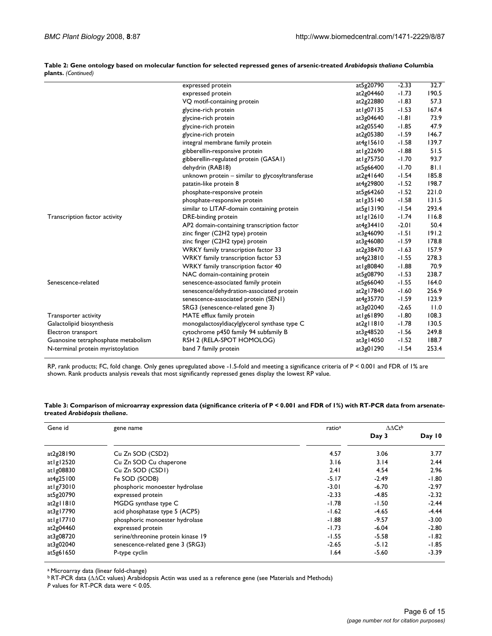|                                     | expressed protein                                | at5g20790      | $-2.33$ | 32.7  |
|-------------------------------------|--------------------------------------------------|----------------|---------|-------|
|                                     | expressed protein                                | at2g04460      | $-1.73$ | 190.5 |
|                                     | VQ motif-containing protein                      | at2g22880      | $-1.83$ | 57.3  |
|                                     | glycine-rich protein                             | at $\lg 07135$ | $-1.53$ | 167.4 |
|                                     | glycine-rich protein                             | at3g04640      | $-1.81$ | 73.9  |
|                                     | glycine-rich protein                             | at2g05540      | $-1.85$ | 47.9  |
|                                     | glycine-rich protein                             | at2g05380      | $-1.59$ | 146.7 |
|                                     | integral membrane family protein                 | at $4g15610$   | $-1.58$ | 139.7 |
|                                     | gibberellin-responsive protein                   | at 1 g 22690   | $-1.88$ | 51.5  |
|                                     | gibberellin-regulated protein (GASAI)            | at 1g75750     | $-1.70$ | 93.7  |
|                                     | dehydrin (RAB18)                                 | at5g66400      | $-1.70$ | 81.1  |
|                                     | unknown protein - similar to glycosyltransferase | at2g41640      | $-1.54$ | 185.8 |
|                                     | patatin-like protein 8                           | at4g29800      | $-1.52$ | 198.7 |
|                                     | phosphate-responsive protein                     | at5g64260      | $-1.52$ | 221.0 |
|                                     | phosphate-responsive protein                     | at $\lg$ 35140 | $-1.58$ | 131.5 |
|                                     | similar to LITAF-domain containing protein       | at5g13190      | $-1.54$ | 293.4 |
| Transcription factor activity       | DRE-binding protein                              | at $ g $ 2610  | $-1.74$ | 116.8 |
|                                     | AP2 domain-containing transcription factor       | at4g34410      | $-2.01$ | 50.4  |
|                                     | zinc finger (C2H2 type) protein                  | at3g46090      | $-1.51$ | 191.2 |
|                                     | zinc finger (C2H2 type) protein                  | at3g46080      | $-1.59$ | 178.8 |
|                                     | WRKY family transcription factor 33              | at2g38470      | $-1.63$ | 157.9 |
|                                     | WRKY family transcription factor 53              | at4g23810      | $-1.55$ | 278.3 |
|                                     | WRKY family transcription factor 40              | at 1g80840     | $-1.88$ | 70.9  |
|                                     | NAC domain-containing protein                    | at5g08790      | $-1.53$ | 238.7 |
| Senescence-related                  | senescence-associated family protein             | at5g66040      | $-1.55$ | 164.0 |
|                                     | senescence/dehydration-associated protein        | at2g17840      | $-1.60$ | 256.9 |
|                                     | senescence-associated protein (SENI)             | at4g35770      | $-1.59$ | 123.9 |
|                                     | SRG3 (senescence-related gene 3)                 | at3g02040      | $-2.65$ | 11.0  |
| Transporter activity                | MATE efflux family protein                       | at I g6 1890   | $-1.80$ | 108.3 |
| Galactolipid biosynthesis           | monogalactosyldiacylglycerol synthase type C     | at2g11810      | $-1.78$ | 130.5 |
| Electron transport                  | cytochrome p450 family 94 subfamily B            | at3g48520      | $-1.56$ | 249.8 |
| Guanosine tetraphosphate metabolism | RSH 2 (RELA-SPOT HOMOLOG)                        | at3g14050      | $-1.52$ | 188.7 |
| N-terminal protein myristoylation   | band 7 family protein                            | at3g01290      | $-1.54$ | 253.4 |

**Table 2: Gene ontology based on molecular function for selected repressed genes of arsenic-treated** *Arabidopsis thaliana* **Columbia plants.** *(Continued)*

RP, rank products; FC, fold change. Only genes upregulated above -1.5-fold and meeting a significance criteria of P < 0.001 and FDR of 1% are shown. Rank products analysis reveals that most significantly repressed genes display the lowest RP value.

| Table 3: Comparison of microarray expression data (significance criteria of P < 0.001 and FDR of 1%) with RT-PCR data from arsenate- |  |
|--------------------------------------------------------------------------------------------------------------------------------------|--|
| treated Arabidopsis thaliana.                                                                                                        |  |

| Gene id       | gene name                          | ratio <sup>a</sup> | $\Delta \Delta \mathsf{C} t^{\mathsf{b}}$ |          |
|---------------|------------------------------------|--------------------|-------------------------------------------|----------|
|               |                                    |                    | Day 3                                     | Day $10$ |
| at2g28190     | Cu Zn SOD (CSD2)                   | 4.57               | 3.06                                      | 3.77     |
| at $lg$ 12520 | Cu Zn SOD Cu chaperone             | 3.16               | 3.14                                      | 2.44     |
| at1g08830     | Cu Zn SOD (CSDI)                   | 2.41               | 4.54                                      | 2.96     |
| at4g25100     | Fe SOD (SODB)                      | $-5.17$            | $-2.49$                                   | $-1.80$  |
| at1g73010     | phosphoric monoester hydrolase     | $-3.01$            | $-6.70$                                   | $-2.97$  |
| at5g20790     | expressed protein                  | $-2.33$            | $-4.85$                                   | $-2.32$  |
| at2g11810     | MGDG synthase type C               | $-1.78$            | $-1.50$                                   | $-2.44$  |
| at3g17790     | acid phosphatase type 5 (ACP5)     | $-1.62$            | $-4.65$                                   | $-4.44$  |
| atlg17710     | phosphoric monoester hydrolase     | $-1.88$            | $-9.57$                                   | $-3.00$  |
| at2g04460     | expressed protein                  | $-1.73$            | $-6.04$                                   | $-2.80$  |
| at3g08720     | serine/threonine protein kinase 19 | $-1.55$            | $-5.58$                                   | $-1.82$  |
| at3g02040     | senescence-related gene 3 (SRG3)   | $-2.65$            | $-5.12$                                   | $-1.85$  |
| at5g61650     | P-type cyclin                      | 1.64               | $-5.60$                                   | $-3.39$  |

a Microarray data (linear fold-change)

b RT-PCR data (ΔΔCt values) Arabidopsis Actin was used as a reference gene (see Materials and Methods)

*P* values for RT-PCR data were < 0.05.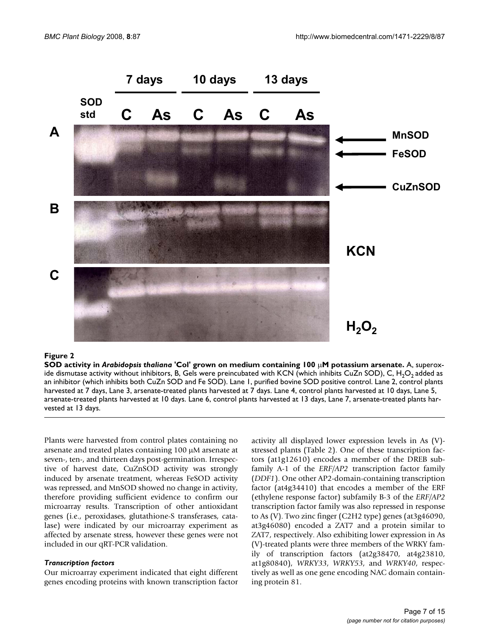

#### SOD activity in **Figure 2** *Arabidopsis thaliana* 'Col' grown on medium containing 100 μM potassium arsenate

**SOD activity in** *Arabidopsis thaliana* **'Col' grown on medium containing 100** μ**M potassium arsenate.** A, superoxide dismutase activity without inhibitors, B, Gels were preincubated with KCN (which inhibits CuZn SOD), C, H<sub>2</sub>O<sub>2</sub> added as an inhibitor (which inhibits both CuZn SOD and Fe SOD). Lane 1, purified bovine SOD positive control. Lane 2, control plants harvested at 7 days, Lane 3, arsenate-treated plants harvested at 7 days. Lane 4, control plants harvested at 10 days, Lane 5, arsenate-treated plants harvested at 10 days. Lane 6, control plants harvested at 13 days, Lane 7, arsenate-treated plants harvested at 13 days.

Plants were harvested from control plates containing no arsenate and treated plates containing 100 μM arsenate at seven-, ten-, and thirteen days post-germination. Irrespective of harvest date, CuZnSOD activity was strongly induced by arsenate treatment, whereas FeSOD activity was repressed, and MnSOD showed no change in activity, therefore providing sufficient evidence to confirm our microarray results. Transcription of other antioxidant genes (i.e., peroxidases, glutathione-S transferases, catalase) were indicated by our microarray experiment as affected by arsenate stress, however these genes were not included in our qRT-PCR validation.

#### *Transcription factors*

Our microarray experiment indicated that eight different genes encoding proteins with known transcription factor activity all displayed lower expression levels in As (V) stressed plants (Table 2). One of these transcription factors (at1g12610) encodes a member of the DREB subfamily A-1 of the *ERF/AP2* transcription factor family (*DDF1*). One other AP2-domain-containing transcription factor (at4g34410) that encodes a member of the ERF (ethylene response factor) subfamily B-3 of the *ERF/AP2* transcription factor family was also repressed in response to As (V). Two zinc finger (C2H2 type) genes (at3g46090, at3g46080) encoded a ZAT7 and a protein similar to ZAT7, respectively. Also exhibiting lower expression in As (V)-treated plants were three members of the WRKY family of transcription factors (at2g38470, at4g23810, at1g80840), *WRKY33*, *WRKY53*, and *WRKY40*, respectively as well as one gene encoding NAC domain containing protein 81.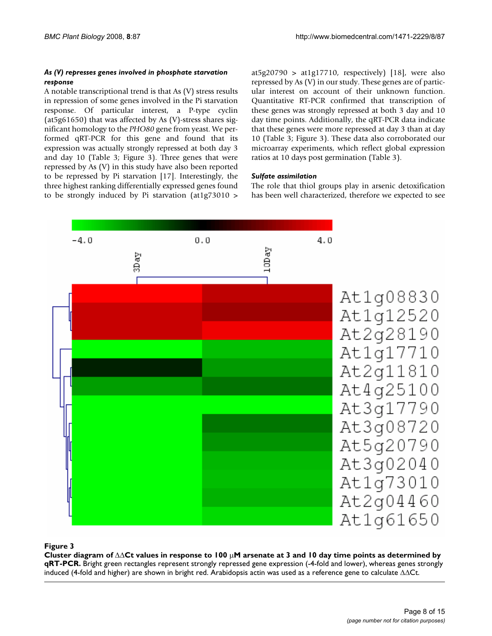#### *As (V) represses genes involved in phosphate starvation response*

A notable transcriptional trend is that As (V) stress results in repression of some genes involved in the Pi starvation response. Of particular interest, a P-type cyclin (at5g61650) that was affected by As (V)-stress shares significant homology to the *PHO80* gene from yeast. We performed qRT-PCR for this gene and found that its expression was actually strongly repressed at both day 3 and day 10 (Table 3; Figure 3). Three genes that were repressed by As (V) in this study have also been reported to be repressed by Pi starvation [17]. Interestingly, the three highest ranking differentially expressed genes found to be strongly induced by Pi starvation (at1g73010 >

at5g20790 > at1g17710, respectively) [18], were also repressed by As (V) in our study. These genes are of particular interest on account of their unknown function. Quantitative RT-PCR confirmed that transcription of these genes was strongly repressed at both 3 day and 10 day time points. Additionally, the qRT-PCR data indicate that these genes were more repressed at day 3 than at day 10 (Table 3; Figure 3). These data also corroborated our microarray experiments, which reflect global expression ratios at 10 days post germination (Table 3).

## *Sulfate assimilation*

The role that thiol groups play in arsenic detoxification has been well characterized, therefore we expected to see



#### **Figure 3** Cluster diagram of ΔΔCt values in response to 100 μM arsenate at 3 and 10 day time points as determined by qRT-PCR

**Cluster diagram of** ΔΔ**Ct values in response to 100** μ**M arsenate at 3 and 10 day time points as determined by qRT-PCR.** Bright green rectangles represent strongly repressed gene expression (-4-fold and lower), whereas genes strongly induced (4-fold and higher) are shown in bright red. Arabidopsis actin was used as a reference gene to calculate ΔΔCt.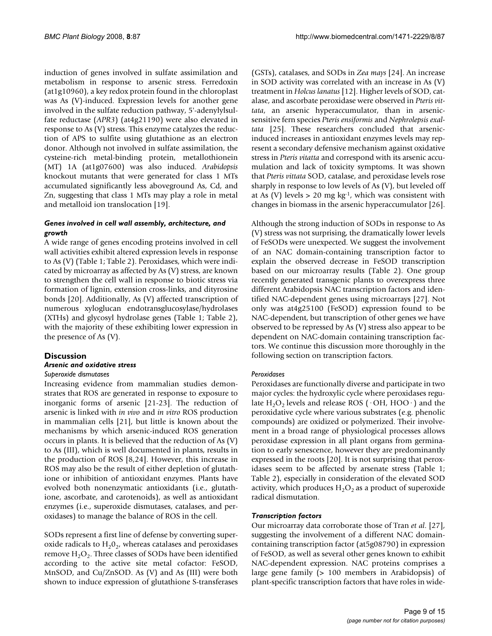induction of genes involved in sulfate assimilation and metabolism in response to arsenic stress. Ferredoxin (at1g10960), a key redox protein found in the chloroplast was As (V)-induced. Expression levels for another gene involved in the sulfate reduction pathway, 5'-adenylylsulfate reductase (*APR3*) (at4g21190) were also elevated in response to As (V) stress. This enzyme catalyzes the reduction of APS to sulfite using glutathione as an electron donor. Although not involved in sulfate assimilation, the cysteine-rich metal-binding protein, metallothionein (MT) 1A (at1g07600) was also induced. *Arabidopsis* knockout mutants that were generated for class 1 MTs accumulated significantly less aboveground As, Cd, and Zn, suggesting that class 1 MTs may play a role in metal and metalloid ion translocation [19].

#### *Genes involved in cell wall assembly, architecture, and growth*

A wide range of genes encoding proteins involved in cell wall activities exhibit altered expression levels in response to As (V) (Table 1; Table 2). Peroxidases, which were indicated by microarray as affected by As (V) stress, are known to strengthen the cell wall in response to biotic stress via formation of lignin, extension cross-links, and dityrosine bonds [20]. Additionally, As (V) affected transcription of numerous xyloglucan endotransglucosylase/hydrolases (XTHs) and glycosyl hydrolase genes (Table 1; Table 2), with the majority of these exhibiting lower expression in the presence of As (V).

# **Discussion**

#### *Arsenic and oxidative stress*

#### *Superoxide dismutases*

Increasing evidence from mammalian studies demonstrates that ROS are generated in response to exposure to inorganic forms of arsenic [21-23]. The reduction of arsenic is linked with *in vivo* and *in vitro* ROS production in mammalian cells [21], but little is known about the mechanisms by which arsenic-induced ROS generation occurs in plants. It is believed that the reduction of As (V) to As (III), which is well documented in plants, results in the production of ROS [8,24]. However, this increase in ROS may also be the result of either depletion of glutathione or inhibition of antioxidant enzymes. Plants have evolved both nonenzymatic antioxidants (i.e., glutathione, ascorbate, and carotenoids), as well as antioxidant enzymes (i.e., superoxide dismutases, catalases, and peroxidases) to manage the balance of ROS in the cell.

SODs represent a first line of defense by converting superoxide radicals to  $H_2O_2$ , whereas catalases and peroxidases remove  $H_2O_2$ . Three classes of SODs have been identified according to the active site metal cofactor: FeSOD, MnSOD, and Cu/ZnSOD. As (V) and As (III) were both shown to induce expression of glutathione S-transferases

(GSTs), catalases, and SODs in *Zea mays* [24]. An increase in SOD activity was correlated with an increase in As (V) treatment in *Holcus lanatus* [12]. Higher levels of SOD, catalase, and ascorbate peroxidase were observed in *Pteris vittata*, an arsenic hyperaccumulator, than in arsenicsensitive fern species *Pteris ensiformis* and *Nephrolepsis exal*tata [25]. These researchers concluded that arsenicinduced increases in antioxidant enzymes levels may represent a secondary defensive mechanism against oxidative stress in *Pteris vitatta* and correspond with its arsenic accumulation and lack of toxicity symptoms. It was shown that *Pteris vittata* SOD, catalase, and peroxidase levels rose sharply in response to low levels of As (V), but leveled off at As (V) levels  $> 20$  mg kg<sup>-1</sup>, which was consistent with changes in biomass in the arsenic hyperaccumulator [\[26](#page-15-2)].

Although the strong induction of SODs in response to As (V) stress was not surprising, the dramatically lower levels of FeSODs were unexpected. We suggest the involvement of an NAC domain-containing transcription factor to explain the observed decrease in FeSOD transcription based on our microarray results (Table 2). One group recently generated transgenic plants to overexpress three different Arabidopsis NAC transcription factors and identified NAC-dependent genes using microarrays [27]. Not only was at4g25100 (FeSOD) expression found to be NAC-dependent, but transcription of other genes we have observed to be repressed by As (V) stress also appear to be dependent on NAC-domain containing transcription factors. We continue this discussion more thoroughly in the following section on transcription factors.

#### *Peroxidases*

Peroxidases are functionally diverse and participate in two major cycles: the hydroxylic cycle where peroxidases regulate  $H_2O_2$  levels and release ROS ( $\cdot$ OH, HOO $\cdot$ ) and the peroxidative cycle where various substrates (e.g. phenolic compounds) are oxidized or polymerized. Their involvement in a broad range of physiological processes allows peroxidase expression in all plant organs from germination to early senescence, however they are predominantly expressed in the roots [20]. It is not surprising that peroxidases seem to be affected by arsenate stress (Table 1; Table 2), especially in consideration of the elevated SOD activity, which produces  $H_2O_2$  as a product of superoxide radical dismutation.

#### *Transcription factors*

Our microarray data corroborate those of Tran *et al*. [27], suggesting the involvement of a different NAC domaincontaining transcription factor (at5g08790) in expression of FeSOD, as well as several other genes known to exhibit NAC-dependent expression. NAC proteins comprises a large gene family (> 100 members in Arabidopsis) of plant-specific transcription factors that have roles in wide-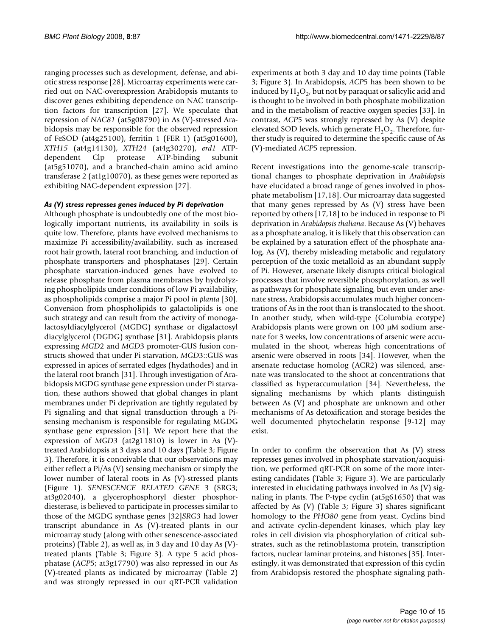ranging processes such as development, defense, and abiotic stress response [28]. Microarray experiments were carried out on NAC-overexpression Arabidopsis mutants to discover genes exhibiting dependence on NAC transcription factors for transcription [27]. We speculate that repression of *NAC81* (at5g08790) in As (V)-stressed Arabidopsis may be responsible for the observed repression of FeSOD (at4g25100), ferritin 1 (FER 1) (at5g01600), *XTH15* (at4g14130), *XTH24* (at4g30270), *erd1* ATPdependent Clp protease ATP-binding subunit (at5g51070), and a branched-chain amino acid amino transferase 2 (at1g10070), as these genes were reported as exhibiting NAC-dependent expression [27].

#### *As (V) stress represses genes induced by Pi deprivation*

Although phosphate is undoubtedly one of the most biologically important nutrients, its availability in soils is quite low. Therefore, plants have evolved mechanisms to maximize Pi accessibility/availability, such as increased root hair growth, lateral root branching, and induction of phosphate transporters and phosphatases [29]. Certain phosphate starvation-induced genes have evolved to release phosphate from plasma membranes by hydrolyzing phospholipids under conditions of low Pi availability, as phospholipids comprise a major Pi pool *in planta* [30]. Conversion from phospholipids to galactolipids is one such strategy and can result from the activity of monogalactosyldiacylglycerol (MGDG) synthase or digalactosyl diacylglycerol (DGDG) synthase [31]. Arabidopsis plants expressing *MGD*2 and *MGD*3 promoter-GUS fusion constructs showed that under Pi starvation, *MGD*3::GUS was expressed in apices of serrated edges (hydathodes) and in the lateral root branch [31]. Through investigation of Arabidopsis MGDG synthase gene expression under Pi starvation, these authors showed that global changes in plant membranes under Pi deprivation are tightly regulated by Pi signaling and that signal transduction through a Pisensing mechanism is responsible for regulating MGDG synthase gene expression [31]. We report here that the expression of *MGD3* (at2g11810) is lower in As (V) treated Arabidopsis at 3 days and 10 days (Table 3; Figure 3). Therefore, it is conceivable that our observations may either reflect a Pi/As (V) sensing mechanism or simply the lower number of lateral roots in As (V)-stressed plants (Figure 1). *SENESCENCE RELATED GENE* 3 (SRG3; at3g02040), a glycerophosphoryl diester phosphordiesterase, is believed to participate in processes similar to those of the MGDG synthase genes [32]*SRG*3 had lower transcript abundance in As (V)-treated plants in our microarray study (along with other senescence-associated proteins) (Table 2), as well as, in 3 day and 10 day As (V) treated plants (Table 3; Figure 3). A type 5 acid phosphatase (*ACP*5; at3g17790) was also repressed in our As (V)-treated plants as indicated by microarray (Table 2) and was strongly repressed in our qRT-PCR validation

experiments at both 3 day and 10 day time points (Table 3; Figure 3). In Arabidopsis, *ACP*5 has been shown to be induced by  $H_2O_2$ , but not by paraquat or salicylic acid and is thought to be involved in both phosphate mobilization and in the metabolism of reactive oxygen species [[33](#page-16-0)]. In contrast, *ACP*5 was strongly repressed by As (V) despite elevated SOD levels, which generate  $H_2O_2$ . Therefore, further study is required to determine the specific cause of As (V)-mediated *ACP*5 repression.

Recent investigations into the genome-scale transcriptional changes to phosphate deprivation in *Arabidopsis* have elucidated a broad range of genes involved in phosphate metabolism [17,18]. Our microarray data suggested that many genes repressed by As (V) stress have been reported by others [17,18] to be induced in response to Pi deprivation in *Arabidopsis thaliana*. Because As (V) behaves as a phosphate analog, it is likely that this observation can be explained by a saturation effect of the phosphate analog, As (V), thereby misleading metabolic and regulatory perception of the toxic metalloid as an abundant supply of Pi. However, arsenate likely disrupts critical biological processes that involve reversible phosphorylation, as well as pathways for phosphate signaling, but even under arsenate stress, Arabidopsis accumulates much higher concentrations of As in the root than is translocated to the shoot. In another study, when wild-type (Columbia ecotype) Arabidopsis plants were grown on 100 μM sodium arsenate for 3 weeks, low concentrations of arsenic were accumulated in the shoot, whereas high concentrations of arsenic were observed in roots [34]. However, when the arsenate reductase homolog (ACR2) was silenced, arsenate was translocated to the shoot at concentrations that classified as hyperaccumulation [34]. Nevertheless, the signaling mechanisms by which plants distinguish between As (V) and phosphate are unknown and other mechanisms of As detoxification and storage besides the well documented phytochelatin response [9-12] may exist.

In order to confirm the observation that As (V) stress represses genes involved in phosphate starvation/acquisition, we performed qRT-PCR on some of the more interesting candidates (Table 3; Figure 3). We are particularly interested in elucidating pathways involved in As (V) signaling in plants. The P-type cyclin (at5g61650) that was affected by As (V) (Table 3; Figure 3) shares significant homology to the *PHO80* gene from yeast. Cyclins bind and activate cyclin-dependent kinases, which play key roles in cell division via phosphorylation of critical substrates, such as the retinoblastoma protein, transcription factors, nuclear laminar proteins, and histones [35]. Interestingly, it was demonstrated that expression of this cyclin from Arabidopsis restored the phosphate signaling path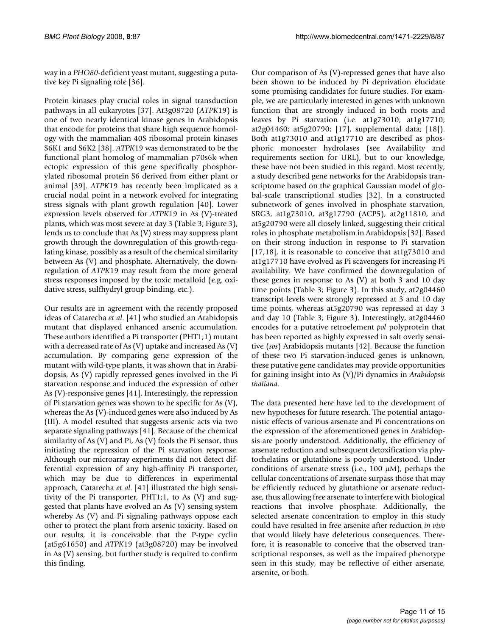way in a *PHO80*-deficient yeast mutant, suggesting a putative key Pi signaling role [\[36](#page-16-1)].

Protein kinases play crucial roles in signal transduction pathways in all eukaryotes [37]. At3g08720 (*ATPK*19) is one of two nearly identical kinase genes in Arabidopsis that encode for proteins that share high sequence homology with the mammalian 40S ribosomal protein kinases S6K1 and S6K2 [38]. *ATPK*19 was demonstrated to be the functional plant homolog of mammalian p70s6k when ectopic expression of this gene specifically phosphorylated ribosomal protein S6 derived from either plant or animal [39]. *ATPK*19 has recently been implicated as a crucial nodal point in a network evolved for integrating stress signals with plant growth regulation [40]. Lower expression levels observed for *ATPK*19 in As (V)-treated plants, which was most severe at day 3 (Table 3; Figure 3), lends us to conclude that As (V) stress may suppress plant growth through the downregulation of this growth-regulating kinase, possibly as a result of the chemical similarity between As (V) and phosphate. Alternatively, the downregulation of *ATPK*19 may result from the more general stress responses imposed by the toxic metalloid (e.g. oxidative stress, sulfhydryl group binding, etc.).

Our results are in agreement with the recently proposed ideas of Catarecha *et al*. [41] who studied an Arabidopsis mutant that displayed enhanced arsenic accumulation. These authors identified a Pi transporter (PHT1;1) mutant with a decreased rate of As (V) uptake and increased As (V) accumulation. By comparing gene expression of the mutant with wild-type plants, it was shown that in Arabidopsis, As (V) rapidly repressed genes involved in the Pi starvation response and induced the expression of other As (V)-responsive genes [41]. Interestingly, the repression of Pi starvation genes was shown to be specific for As (V), whereas the As (V)-induced genes were also induced by As (III). A model resulted that suggests arsenic acts via two separate signaling pathways [41]. Because of the chemical similarity of As (V) and Pi, As (V) fools the Pi sensor, thus initiating the repression of the Pi starvation response. Although our microarray experiments did not detect differential expression of any high-affinity Pi transporter, which may be due to differences in experimental approach, Catarecha *et al*. [41] illustrated the high sensitivity of the Pi transporter, PHT1;1, to As (V) and suggested that plants have evolved an As (V) sensing system whereby As (V) and Pi signaling pathways oppose each other to protect the plant from arsenic toxicity. Based on our results, it is conceivable that the P-type cyclin (at5g61650) and *ATPK*19 (at3g08720) may be involved in As (V) sensing, but further study is required to confirm this finding.

Our comparison of As (V)-repressed genes that have also been shown to be induced by Pi deprivation elucidate some promising candidates for future studies. For example, we are particularly interested in genes with unknown function that are strongly induced in both roots and leaves by Pi starvation (i.e. at1g73010; at1g17710; at2g04460; at5g20790; [17], supplemental data; [18]). Both at1g73010 and at1g17710 are described as phosphoric monoester hydrolases (see Availability and requirements section for URL), but to our knowledge, these have not been studied in this regard. Most recently, a study described gene networks for the Arabidopsis transcriptome based on the graphical Gaussian model of global-scale transcriptional studies [32]. In a constructed subnetwork of genes involved in phosphate starvation, SRG3, at1g73010, at3g17790 (ACP5), at2g11810, and at5g20790 were all closely linked, suggesting their critical roles in phosphate metabolism in Arabidopsis [32]. Based on their strong induction in response to Pi starvation [17,18], it is reasonable to conceive that at1g73010 and at1g17710 have evolved as Pi scavengers for increasing Pi availability. We have confirmed the downregulation of these genes in response to As (V) at both 3 and 10 day time points (Table 3; Figure 3). In this study, at2g04460 transcript levels were strongly repressed at 3 and 10 day time points, whereas at5g20790 was repressed at day 3 and day 10 (Table 3; Figure 3). Interestingly, at2g04460 encodes for a putative retroelement *pol* polyprotein that has been reported as highly expressed in salt overly sensitive (*sos*) Arabidopsis mutants [42]. Because the function of these two Pi starvation-induced genes is unknown, these putative gene candidates may provide opportunities for gaining insight into As (V)/Pi dynamics in *Arabidopsis thaliana*.

The data presented here have led to the development of new hypotheses for future research. The potential antagonistic effects of various arsenate and Pi concentrations on the expression of the aforementioned genes in Arabidopsis are poorly understood. Additionally, the efficiency of arsenate reduction and subsequent detoxification via phytochelatins or glutathione is poorly understood. Under conditions of arsenate stress (i.e., 100 μM), perhaps the cellular concentrations of arsenate surpass those that may be efficiently reduced by glutathione or arsenate reductase, thus allowing free arsenate to interfere with biological reactions that involve phosphate. Additionally, the selected arsenate concentration to employ in this study could have resulted in free arsenite after reduction *in vivo* that would likely have deleterious consequences. Therefore, it is reasonable to conceive that the observed transcriptional responses, as well as the impaired phenotype seen in this study, may be reflective of either arsenate, arsenite, or both.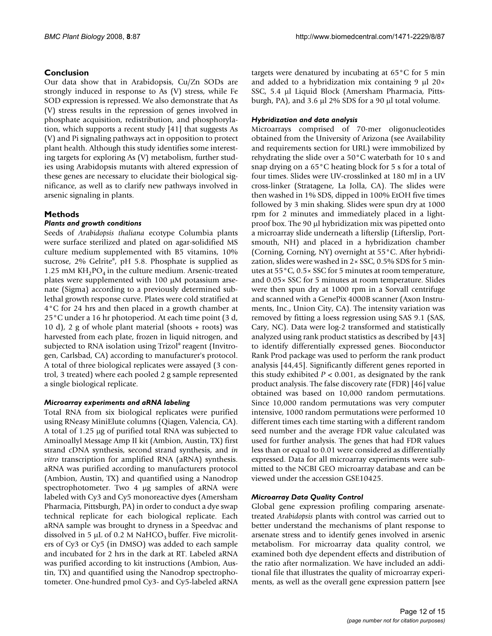# **Conclusion**

Our data show that in Arabidopsis, Cu/Zn SODs are strongly induced in response to As (V) stress, while Fe SOD expression is repressed. We also demonstrate that As (V) stress results in the repression of genes involved in phosphate acquisition, redistribution, and phosphorylation, which supports a recent study [41] that suggests As (V) and Pi signaling pathways act in opposition to protect plant health. Although this study identifies some interesting targets for exploring As (V) metabolism, further studies using Arabidopsis mutants with altered expression of these genes are necessary to elucidate their biological significance, as well as to clarify new pathways involved in arsenic signaling in plants.

# **Methods**

## *Plants and growth conditions*

Seeds of *Arabidopsis thaliana* ecotype Columbia plants were surface sterilized and plated on agar-solidified MS culture medium supplemented with B5 vitamins, 10% sucrose, 2% Gelrite®, pH 5.8. Phosphate is supplied as 1.25 mM  $KH_2PO_4$  in the culture medium. Arsenic-treated plates were supplemented with 100 μM potassium arsenate (Sigma) according to a previously determined sublethal growth response curve. Plates were cold stratified at 4°C for 24 hrs and then placed in a growth chamber at 25°C under a 16 hr photoperiod. At each time point (3 d, 10 d), 2 g of whole plant material (shoots + roots) was harvested from each plate, frozen in liquid nitrogen, and subjected to RNA isolation using Trizol® reagent (Invitrogen, Carlsbad, CA) according to manufacturer's protocol. A total of three biological replicates were assayed (3 control, 3 treated) where each pooled 2 g sample represented a single biological replicate.

#### *Microarray experiments and aRNA labeling*

Total RNA from six biological replicates were purified using RNeasy MiniElute columns (Qiagen, Valencia, CA). A total of 1.25 μg of purified total RNA was subjected to Aminoallyl Message Amp II kit (Ambion, Austin, TX) first strand cDNA synthesis, second strand synthesis, and *in vitro* transcription for amplified RNA (aRNA) synthesis. aRNA was purified according to manufacturers protocol (Ambion, Austin, TX) and quantified using a Nanodrop spectrophotometer. Two 4 μg samples of aRNA were labeled with Cy3 and Cy5 monoreactive dyes (Amersham Pharmacia, Pittsburgh, PA) in order to conduct a dye swap technical replicate for each biological replicate. Each aRNA sample was brought to dryness in a Speedvac and dissolved in 5  $\mu$ L of 0.2 M NaHCO<sub>3</sub> buffer. Five microliters of Cy3 or Cy5 (in DMSO) was added to each sample and incubated for 2 hrs in the dark at RT. Labeled aRNA was purified according to kit instructions (Ambion, Austin, TX) and quantified using the Nanodrop spectrophotometer. One-hundred pmol Cy3- and Cy5-labeled aRNA

targets were denatured by incubating at 65°C for 5 min and added to a hybridization mix containing 9 μl 20× SSC, 5.4 μl Liquid Block (Amersham Pharmacia, Pittsburgh, PA), and 3.6 μl 2% SDS for a 90 μl total volume.

# *Hybridization and data analysis*

Microarrays comprised of 70-mer oligonucleotides obtained from the University of Arizona (see Availability and requirements section for URL) were immobilized by rehydrating the slide over a 50°C waterbath for 10 s and snap drying on a 65°C heating block for 5 s for a total of four times. Slides were UV-crosslinked at 180 mJ in a UV cross-linker (Stratagene, La Jolla, CA). The slides were then washed in 1% SDS, dipped in 100% EtOH five times followed by 3 min shaking. Slides were spun dry at 1000 rpm for 2 minutes and immediately placed in a lightproof box. The 90 μl hybridization mix was pipetted onto a microarray slide underneath a lifterslip (Lifterslip, Portsmouth, NH) and placed in a hybridization chamber (Corning, Corning, NY) overnight at 55°C. After hybridization, slides were washed in 2× SSC, 0.5% SDS for 5 minutes at 55°C, 0.5× SSC for 5 minutes at room temperature, and 0.05× SSC for 5 minutes at room temperature. Slides were then spun dry at 1000 rpm in a Sorvall centrifuge and scanned with a GenePix 4000B scanner (Axon Instruments, Inc., Union City, CA). The intensity variation was removed by fitting a loess regression using SAS 9.1 (SAS, Cary, NC). Data were log-2 transformed and statistically analyzed using rank product statistics as described by [43] to identify differentially expressed genes. Bioconductor Rank Prod package was used to perform the rank product analysis [44,45]. Significantly different genes reported in this study exhibited  $P < 0.001$ , as designated by the rank product analysis. The false discovery rate (FDR) [46] value obtained was based on 10,000 random permutations. Since 10,000 random permutations was very computer intensive, 1000 random permutations were performed 10 different times each time starting with a different random seed number and the average FDR value calculated was used for further analysis. The genes that had FDR values less than or equal to 0.01 were considered as differentially expressed. Data for all microarray experiments were submitted to the NCBI GEO microarray database and can be viewed under the accession GSE10425.

# *Microarray Data Quality Control*

Global gene expression profiling comparing arsenatetreated *Arabidopsis* plants with control was carried out to better understand the mechanisms of plant response to arsenate stress and to identify genes involved in arsenic metabolism. For microarray data quality control, we examined both dye dependent effects and distribution of the ratio after normalization. We have included an additional file that illustrates the quality of microarray experiments, as well as the overall gene expression pattern [see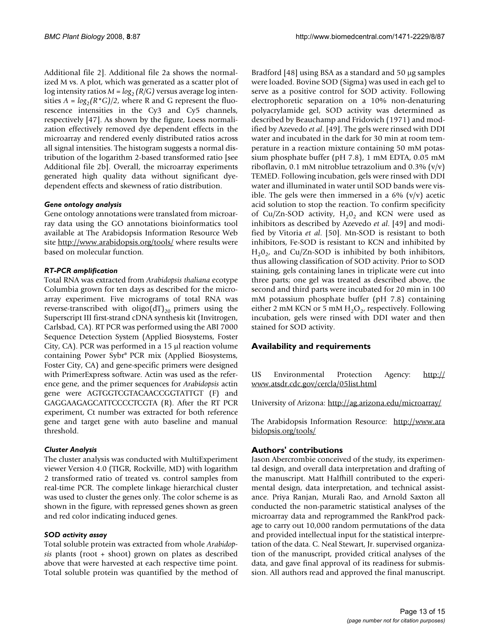Additional file 2]. Additional file 2a shows the normalized M vs. A plot, which was generated as a scatter plot of log intensity ratios  $M = log_2 (R/G)$  versus average log intensities  $A = log_2(R^*G)/2$ , where R and G represent the fluorescence intensities in the Cy3 and Cy5 channels, respectively [47]. As shown by the figure, Loess normalization effectively removed dye dependent effects in the microarray and rendered evenly distributed ratios across all signal intensities. The histogram suggests a normal distribution of the logarithm 2-based transformed ratio [see Additional file 2b]. Overall, the microarray experiments generated high quality data without significant dyedependent effects and skewness of ratio distribution.

#### *Gene ontology analysis*

Gene ontology annotations were translated from microarray data using the GO annotations bioinformatics tool available at The Arabidopsis Information Resource Web site <http://www.arabidopsis.org/tools/> where results were based on molecular function.

#### *RT-PCR amplification*

Total RNA was extracted from *Arabidopsis thaliana* ecotype Columbia grown for ten days as described for the microarray experiment. Five micrograms of total RNA was reverse-transcribed with oligo( $dT_{20}$  primers using the Superscript III first-strand cDNA synthesis kit (Invitrogen, Carlsbad, CA). RT PCR was performed using the ABI 7000 Sequence Detection System (Applied Biosystems, Foster City, CA). PCR was performed in a 15 μl reaction volume containing Power Sybr® PCR mix (Applied Biosystems, Foster City, CA) and gene-specific primers were designed with PrimerExpress software. Actin was used as the reference gene, and the primer sequences for *Arabidopsis* actin gene were AGTGGTCGTACAACCGGTATTGT (F) and GAGGAAGAGCATTCCCCTCGTA (R). After the RT PCR experiment, Ct number was extracted for both reference gene and target gene with auto baseline and manual threshold.

#### *Cluster Analysis*

The cluster analysis was conducted with MultiExperiment viewer Version 4.0 (TIGR, Rockville, MD) with logarithm 2 transformed ratio of treated vs. control samples from real-time PCR. The complete linkage hierarchical cluster was used to cluster the genes only. The color scheme is as shown in the figure, with repressed genes shown as green and red color indicating induced genes.

#### *SOD activity assay*

Total soluble protein was extracted from whole *Arabidopsis* plants (root + shoot) grown on plates as described above that were harvested at each respective time point. Total soluble protein was quantified by the method of Bradford [48] using BSA as a standard and 50 μg samples were loaded. Bovine SOD (Sigma) was used in each gel to serve as a positive control for SOD activity. Following electrophoretic separation on a 10% non-denaturing polyacrylamide gel, SOD activity was determined as described by Beauchamp and Fridovich (1971) and modified by Azevedo *et al*. [49]. The gels were rinsed with DDI water and incubated in the dark for 30 min at room temperature in a reaction mixture containing 50 mM potassium phosphate buffer (pH 7.8), 1 mM EDTA, 0.05 mM riboflavin, 0.1 mM nitroblue tetrazolium and 0.3%  $(v/v)$ TEMED. Following incubation, gels were rinsed with DDI water and illuminated in water until SOD bands were visible. The gels were then immersed in a  $6\%$  (v/v) acetic acid solution to stop the reaction. To confirm specificity of Cu/Zn-SOD activity,  $H_2O_2$  and KCN were used as inhibitors as described by Azevedo *et al*. [49] and modified by Vitoria *et al*. [50]. Mn-SOD is resistant to both inhibitors, Fe-SOD is resistant to KCN and inhibited by  $H_20_2$ , and Cu/Zn-SOD is inhibited by both inhibitors, thus allowing classification of SOD activity. Prior to SOD staining, gels containing lanes in triplicate were cut into three parts; one gel was treated as described above, the second and third parts were incubated for 20 min in 100 mM potassium phosphate buffer (pH 7.8) containing either 2 mM KCN or 5 mM  $H_2O_2$ , respectively. Following incubation, gels were rinsed with DDI water and then stained for SOD activity.

# **Availability and requirements**

US Environmental Protection Agency: [http://](http://www.atsdr.cdc.gov/cercla/05list.html) [www.atsdr.cdc.gov/cercla/05list.html](http://www.atsdr.cdc.gov/cercla/05list.html)

University of Arizona: <http://ag.arizona.edu/microarray/>

The Arabidopsis Information Resource: [http://www.ara](http://www.arabidopsis.org/tools/) [bidopsis.org/tools/](http://www.arabidopsis.org/tools/)

#### **Authors' contributions**

Jason Abercrombie conceived of the study, its experimental design, and overall data interpretation and drafting of the manuscript. Matt Halfhill contributed to the experimental design, data interpretation, and technical assistance. Priya Ranjan, Murali Rao, and Arnold Saxton all conducted the non-parametric statistical analyses of the microarray data and reprogrammed the RankProd package to carry out 10,000 random permutations of the data and provided intellectual input for the statistical interpretation of the data. C. Neal Stewart, Jr. supervised organization of the manuscript, provided critical analyses of the data, and gave final approval of its readiness for submission. All authors read and approved the final manuscript.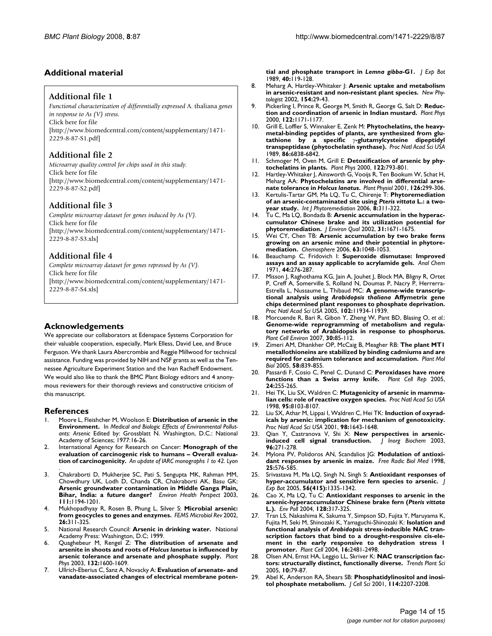#### **Additional material**

#### **Additional file 1**

*Functional characterization of differentially expressed* A. thaliana *genes in response to As (V) stress.* Click here for file [\[http://www.biomedcentral.com/content/supplementary/1471-](http://www.biomedcentral.com/content/supplementary/1471-2229-8-87-S1.pdf) 2229-8-87-S1.pdf]

#### **Additional file 2**

*Microarray quality control for chips used in this study.* Click here for file [\[http://www.biomedcentral.com/content/supplementary/1471-](http://www.biomedcentral.com/content/supplementary/1471-2229-8-87-S2.pdf) 2229-8-87-S2.pdf]

#### **Additional file 3**

*Complete microarray dataset for genes induced by As (V).* Click here for file [\[http://www.biomedcentral.com/content/supplementary/1471-](http://www.biomedcentral.com/content/supplementary/1471-2229-8-87-S3.xls) 2229-8-87-S3.xls]

#### **Additional file 4**

*Complete microarray dataset for genes repressed by As (V).* Click here for file [\[http://www.biomedcentral.com/content/supplementary/1471-](http://www.biomedcentral.com/content/supplementary/1471-2229-8-87-S4.xls) 2229-8-87-S4.xls]

#### **Acknowledgements**

We appreciate our collaborators at Edenspace Systems Corporation for their valuable cooperation, especially, Mark Elless, David Lee, and Bruce Ferguson. We thank Laura Abercrombie and Reggie Millwood for technical assistance. Funding was provided by NIH and NSF grants as well as the Tennessee Agriculture Experiment Station and the Ivan Racheff Endowment. We would also like to thank the BMC Plant Biology editors and 4 anonymous reviewers for their thorough reviews and constructive criticism of this manuscript.

#### **References**

- 1. Moore L, Fleishcher M, Woolson E: **Distribution of arsenic in the Environment.** In *Medical and Biologic Effects of Environmental Pollutants: Arsenic* Edited by: Grossblatt N. Washington, D.C.: National Academy of Sciences; 1977:16-26.
- 2. International Agency for Research on Cancer: **Monograph of the evaluation of carcinogenic risk to humans – Overall evaluation of carcinogenicity.** *An update of IARC monographs 1 to 42. Lyon*
- . 3. Chakraborti D, Mukherjee SC, Pati S, Sengupta MK, Rahman MM, Chowdhury UK, Lodh D, Chanda CR, Chakraborti AK, Basu GK: **[Arsenic groundwater contamination in Middle Ganga Plain,](http://www.ncbi.nlm.nih.gov/entrez/query.fcgi?cmd=Retrieve&db=PubMed&dopt=Abstract&list_uids=12842773) [Bihar, India: a future danger?](http://www.ncbi.nlm.nih.gov/entrez/query.fcgi?cmd=Retrieve&db=PubMed&dopt=Abstract&list_uids=12842773)** *Environ Health Perspect* 2003, **111:**1194-1201.
- 4. Mukhopadhyay R, Rosen B, Phung L, Silver S: **[Microbial arsenic:](http://www.ncbi.nlm.nih.gov/entrez/query.fcgi?cmd=Retrieve&db=PubMed&dopt=Abstract&list_uids=12165430) [from geocycles to genes and enzymes.](http://www.ncbi.nlm.nih.gov/entrez/query.fcgi?cmd=Retrieve&db=PubMed&dopt=Abstract&list_uids=12165430)** *FEMS Microbiol Rev* 2002, **26:**311-325.
- 5. National Research Council: **Arsenic in drinking water.** National Academy Press: Washington, D.C; 1999.
- <span id="page-15-0"></span>6. Quaghebeur M, Rengel Z: **The distribution of arsenate and arsenite in shoots and roots of** *Holcus lanatus* **[is influenced by](http://www.ncbi.nlm.nih.gov/entrez/query.fcgi?cmd=Retrieve&db=PubMed&dopt=Abstract&list_uids=12857839) [arsenic tolerance and arsenate and phosphate supply.](http://www.ncbi.nlm.nih.gov/entrez/query.fcgi?cmd=Retrieve&db=PubMed&dopt=Abstract&list_uids=12857839)** *Plant Phys* 2003, **132:**1600-1609.
- 7. Ullrich-Eberius C, Sanz A, Novacky A: **Evaluation of arsenate- and vanadate-associated changes of electrical membrane poten-**

**tial and phosphate transport in** *Lemna gibba***-G1.** *J Exp Bot* 1989, **40:**119-128.

- 8. Meharg A, Hartley-Whitaker J: **Arsenic uptake and metabolism in arsenic-resistant and non-resistant plant species.** *New Phytologist* 2002, **154:**29-43.
- 9. Pickerling I, Prince R, George M, Smith R, George G, Salt D: **[Reduc](http://www.ncbi.nlm.nih.gov/entrez/query.fcgi?cmd=Retrieve&db=PubMed&dopt=Abstract&list_uids=10759512)[tion and coordination of arsenic in Indian mustard.](http://www.ncbi.nlm.nih.gov/entrez/query.fcgi?cmd=Retrieve&db=PubMed&dopt=Abstract&list_uids=10759512)** *Plant Phys* 2000, **122:**1171-1177.
- 10. Grill E, Loffler S, Winnaker E, Zenk M: **Phytochelatins, the heavymetal-binding peptides of plants, are synthesized from glutathione by a specific** γ**[-glutamylcysteine dipeptidyl](http://www.ncbi.nlm.nih.gov/entrez/query.fcgi?cmd=Retrieve&db=PubMed&dopt=Abstract&list_uids=16594069) [transpeptidase \(phytochelatin synthase\).](http://www.ncbi.nlm.nih.gov/entrez/query.fcgi?cmd=Retrieve&db=PubMed&dopt=Abstract&list_uids=16594069)** *Proc Natl Acad Sci USA* 1989, **86:**6838-6842.
- 11. Schmoger M, Oven M, Grill E: **Detoxification of arsenic by phytochelatins in plants.** *Plant Phys* 2000, **122:**793-801.
- 12. Hartley-Whitaker J, Ainsworth G, Vooijs R, Ten Bookum W, Schat H, Meharg AA: **Phytochelatins are involved in differential arsenate tolerance in** *Holcus lanatus***[.](http://www.ncbi.nlm.nih.gov/entrez/query.fcgi?cmd=Retrieve&db=PubMed&dopt=Abstract&list_uids=11351093)** *Plant Physiol* 2001, **126:**299-306.
- <span id="page-15-1"></span>13. Kertulis-Tartar GM, Ma LQ, Tu C, Chirenje T: **Phytoremediation of an arsenic-contaminated site using** *Pteris vittata* **[L.: a two](http://www.ncbi.nlm.nih.gov/entrez/query.fcgi?cmd=Retrieve&db=PubMed&dopt=Abstract&list_uids=17305305)[year study.](http://www.ncbi.nlm.nih.gov/entrez/query.fcgi?cmd=Retrieve&db=PubMed&dopt=Abstract&list_uids=17305305)** *Int J Phytoremediation* 2006, **8:**311-322.
- Tu C, Ma LQ, Bondada B: [Arsenic accumulation in the hyperac](http://www.ncbi.nlm.nih.gov/entrez/query.fcgi?cmd=Retrieve&db=PubMed&dopt=Abstract&list_uids=12371185)**[cumulator Chinese brake and its utilization potential for](http://www.ncbi.nlm.nih.gov/entrez/query.fcgi?cmd=Retrieve&db=PubMed&dopt=Abstract&list_uids=12371185) [phytoremediation.](http://www.ncbi.nlm.nih.gov/entrez/query.fcgi?cmd=Retrieve&db=PubMed&dopt=Abstract&list_uids=12371185)** *J Environ Qual* 2002, **31:**1671-1675.
- 15. Wei CY, Chen TB: **[Arsenic accumulation by two brake ferns](http://www.ncbi.nlm.nih.gov/entrez/query.fcgi?cmd=Retrieve&db=PubMed&dopt=Abstract&list_uids=16297966) [growing on an arsenic mine and their potential in phytore](http://www.ncbi.nlm.nih.gov/entrez/query.fcgi?cmd=Retrieve&db=PubMed&dopt=Abstract&list_uids=16297966)[mediation.](http://www.ncbi.nlm.nih.gov/entrez/query.fcgi?cmd=Retrieve&db=PubMed&dopt=Abstract&list_uids=16297966)** *Chemosphere* 2006, **63:**1048-1053.
- 16. Beauchamp C, Fridovich I: **[Superoxide dismutase: Improved](http://www.ncbi.nlm.nih.gov/entrez/query.fcgi?cmd=Retrieve&db=PubMed&dopt=Abstract&list_uids=4943714) [assays and an assay applicable to acrylamide gels.](http://www.ncbi.nlm.nih.gov/entrez/query.fcgi?cmd=Retrieve&db=PubMed&dopt=Abstract&list_uids=4943714)** *Anal Chem* 1971, **44:**276-287.
- 17. Misson J, Raghothama KG, Jain A, Jouhet J, Block MA, Bligny R, Ortet P, Creff A, Somerville S, Rolland N, Doumas P, Nacry P, Herrerra-Estrella L, Nussaume L, Thibaud MC: **A genome-wide transcriptional analysis using** *Arabidopsis thaliana* **[Affymetrix gene](http://www.ncbi.nlm.nih.gov/entrez/query.fcgi?cmd=Retrieve&db=PubMed&dopt=Abstract&list_uids=16085708) [chips determined plant responses to phosphate deprivation.](http://www.ncbi.nlm.nih.gov/entrez/query.fcgi?cmd=Retrieve&db=PubMed&dopt=Abstract&list_uids=16085708)** *Proc Natl Acad Sci USA* 2005, **102:**11934-11939.
- 18. Morcuende R, Bari R, Gibon Y, Zheng W, Pant BD, Blasing O, *et al.*: **[Genome-wide reprogramming of metabolism and regula](http://www.ncbi.nlm.nih.gov/entrez/query.fcgi?cmd=Retrieve&db=PubMed&dopt=Abstract&list_uids=17177879)tory networks of Arabidopsis in response to phosphorus.** *Plant Cell Environ* 2007, **30:**85-112.
- 19. Zimeri AM, Dhankher OP, McCaig B, Meagher RB: **[The plant MT1](http://www.ncbi.nlm.nih.gov/entrez/query.fcgi?cmd=Retrieve&db=PubMed&dopt=Abstract&list_uids=16240177) [metallothioneins are stabilized by binding cadmiums and are](http://www.ncbi.nlm.nih.gov/entrez/query.fcgi?cmd=Retrieve&db=PubMed&dopt=Abstract&list_uids=16240177) [required for cadmium tolerance and accumulation.](http://www.ncbi.nlm.nih.gov/entrez/query.fcgi?cmd=Retrieve&db=PubMed&dopt=Abstract&list_uids=16240177)** *Plant Mol Biol* 2005, **58:**839-855.
- 20. Passardi F, Cosio C, Penel C, Dunand C: **[Peroxidases have more](http://www.ncbi.nlm.nih.gov/entrez/query.fcgi?cmd=Retrieve&db=PubMed&dopt=Abstract&list_uids=15856234) [functions than a Swiss army knife.](http://www.ncbi.nlm.nih.gov/entrez/query.fcgi?cmd=Retrieve&db=PubMed&dopt=Abstract&list_uids=15856234)** *Plant Cell Rep* 2005, **24:**255-265.
- 21. Hei TK, Liu SX, Waldren C: **[Mutagenicity of arsenic in mamma](http://www.ncbi.nlm.nih.gov/entrez/query.fcgi?cmd=Retrieve&db=PubMed&dopt=Abstract&list_uids=9653147)[lian cells: role of reactive oxygen species.](http://www.ncbi.nlm.nih.gov/entrez/query.fcgi?cmd=Retrieve&db=PubMed&dopt=Abstract&list_uids=9653147)** *Proc Natl Acad Sci USA* 1998, **95:**8103-8107.
- 22. Liu SX, Athar M, Lippai I, Waldren C, Hei TK: **[Induction of oxyrad](http://www.ncbi.nlm.nih.gov/entrez/query.fcgi?cmd=Retrieve&db=PubMed&dopt=Abstract&list_uids=11172004)[icals by arsenic: implication for mechanism of genotoxicity.](http://www.ncbi.nlm.nih.gov/entrez/query.fcgi?cmd=Retrieve&db=PubMed&dopt=Abstract&list_uids=11172004)** *Proc Natl Acad Sci USA* 2001, **98:**1643-1648.
- 23. Qian Y, Castranova V, Shi X: **[New perspectives in arsenic](http://www.ncbi.nlm.nih.gov/entrez/query.fcgi?cmd=Retrieve&db=PubMed&dopt=Abstract&list_uids=12888263)[induced cell signal transduction.](http://www.ncbi.nlm.nih.gov/entrez/query.fcgi?cmd=Retrieve&db=PubMed&dopt=Abstract&list_uids=12888263)** *J Inorg Biochem* 2003, **96:**271-278.
- 24. Mylona PV, Polidoros AN, Scandalios JG: **[Modulation of antioxi](http://www.ncbi.nlm.nih.gov/entrez/query.fcgi?cmd=Retrieve&db=PubMed&dopt=Abstract&list_uids=9741595)[dant responses by arsenic in maize.](http://www.ncbi.nlm.nih.gov/entrez/query.fcgi?cmd=Retrieve&db=PubMed&dopt=Abstract&list_uids=9741595)** *Free Radic Biol Med* 1998, **25:**576-585.
- 25. Srivastava M, Ma LQ, Singh N, Singh S: **[Antioxidant responses of](http://www.ncbi.nlm.nih.gov/entrez/query.fcgi?cmd=Retrieve&db=PubMed&dopt=Abstract&list_uids=15781440) [hyper-accumulator and sensitive fern species to arsenic.](http://www.ncbi.nlm.nih.gov/entrez/query.fcgi?cmd=Retrieve&db=PubMed&dopt=Abstract&list_uids=15781440)** *J Exp Bot* 2005, **56(415):**1335-1342.
- <span id="page-15-2"></span>26. Cao X, Ma LQ, Tu C: **Antioxidant responses to arsenic in the arsenic-hyperaccumulator Chinese brake fern (***Pteris vittata* **[L.\).](http://www.ncbi.nlm.nih.gov/entrez/query.fcgi?cmd=Retrieve&db=PubMed&dopt=Abstract&list_uids=14720474)** *Env Poll* 2004, **128:**317-325.
- 27. Tran LS, Nakashima K, Sakuma Y, Simpson SD, Fujita Y, Maruyama K, Fujita M, Seki M, Shinozaki K, Yamaguchi-Shinozaki K: **Isolation and functional analysis of** *Arabidopsis* **[stress-inducible NAC tran](http://www.ncbi.nlm.nih.gov/entrez/query.fcgi?cmd=Retrieve&db=PubMed&dopt=Abstract&list_uids=15319476)[scription factors that bind to a drought-responsive cis-ele](http://www.ncbi.nlm.nih.gov/entrez/query.fcgi?cmd=Retrieve&db=PubMed&dopt=Abstract&list_uids=15319476)ment in the early responsive to dehydration stress 1 [promoter.](http://www.ncbi.nlm.nih.gov/entrez/query.fcgi?cmd=Retrieve&db=PubMed&dopt=Abstract&list_uids=15319476)** *Plant Cell* 2004, **16:**2481-2498.
- 28. Olsen AN, Ernst HA, Leggio LL, Skriver K: **[NAC transcription fac](http://www.ncbi.nlm.nih.gov/entrez/query.fcgi?cmd=Retrieve&db=PubMed&dopt=Abstract&list_uids=15708345)[tors: structurally distinct, functionally diverse.](http://www.ncbi.nlm.nih.gov/entrez/query.fcgi?cmd=Retrieve&db=PubMed&dopt=Abstract&list_uids=15708345)** *Trends Plant Sci* 2005, **10:**79-87.
- 29. Abel K, Anderson RA, Shears SB: **[Phosphatidylinositol and inosi](http://www.ncbi.nlm.nih.gov/entrez/query.fcgi?cmd=Retrieve&db=PubMed&dopt=Abstract&list_uids=11493657)[tol phosphate metabolism.](http://www.ncbi.nlm.nih.gov/entrez/query.fcgi?cmd=Retrieve&db=PubMed&dopt=Abstract&list_uids=11493657)** *J Cell Sci* 2001, **114:**2207-2208.